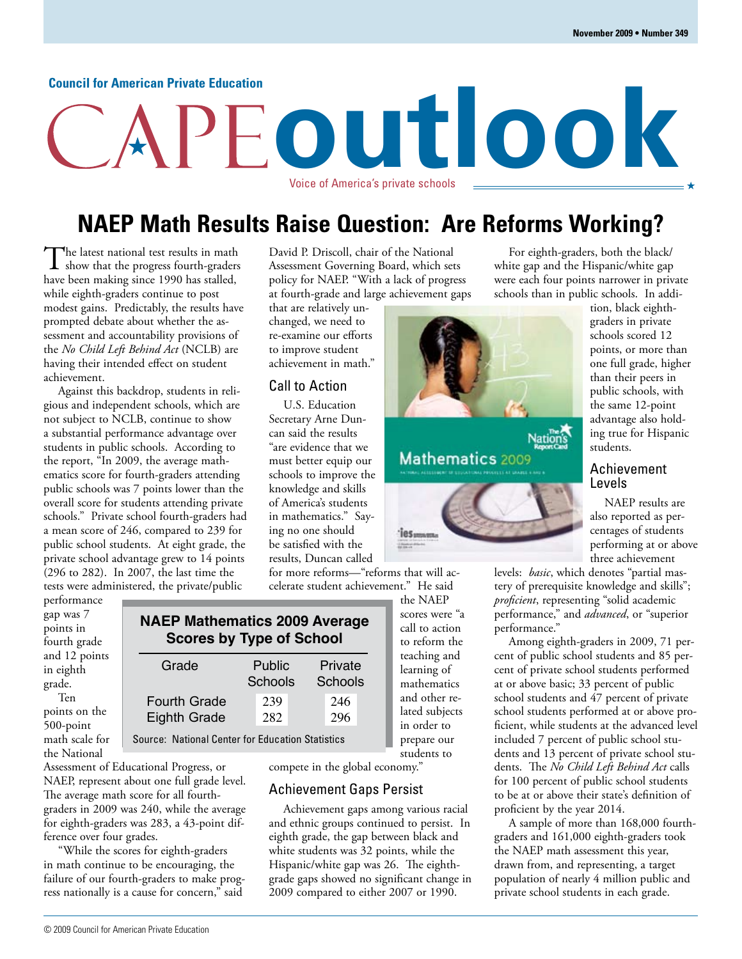#### **Council for American Private Education**

# **outlook** Voice of America's private schools

## **NAEP Math Results Raise Question: Are Reforms Working?**

The latest national test results in math show that the progress fourth-graders have been making since 1990 has stalled, while eighth-graders continue to post modest gains. Predictably, the results have prompted debate about whether the assessment and accountability provisions of the *No Child Left Behind Act* (NCLB) are having their intended effect on student achievement.

Against this backdrop, students in religious and independent schools, which are not subject to NCLB, continue to show a substantial performance advantage over students in public schools. According to the report, "In 2009, the average mathematics score for fourth-graders attending public schools was 7 points lower than the overall score for students attending private schools." Private school fourth-graders had a mean score of 246, compared to 239 for public school students. At eight grade, the private school advantage grew to 14 points (296 to 282). In 2007, the last time the tests were administered, the private/public

David P. Driscoll, chair of the National Assessment Governing Board, which sets policy for NAEP. "With a lack of progress at fourth-grade and large achievement gaps

that are relatively unchanged, we need to re-examine our efforts to improve student achievement in math."

#### Call to Action

U.S. Education Secretary Arne Duncan said the results "are evidence that we must better equip our schools to improve the knowledge and skills of America's students in mathematics." Saying no one should be satisfied with the results, Duncan called

for more reforms—"reforms that will accelerate student achievement." He said

performance gap was 7 points in fourth grade and 12 points in eighth grade. Ten

points on the 500-point math scale for the National

## **NAEP Mathematics 2009 Average Scores by Type of School**

| Grade                                      | Public<br>Schools | Private<br>Schools |
|--------------------------------------------|-------------------|--------------------|
| <b>Fourth Grade</b><br><b>Eighth Grade</b> | 239<br>282        | 246<br>296         |
|                                            |                   |                    |

Source: National Center for Education Statistics

Assessment of Educational Progress, or NAEP, represent about one full grade level. The average math score for all fourthgraders in 2009 was 240, while the average for eighth-graders was 283, a 43-point difference over four grades.

"While the scores for eighth-graders in math continue to be encouraging, the failure of our fourth-graders to make progress nationally is a cause for concern," said

© 2009 Council for American Private Education

the NAEP scores were "a call to action to reform the teaching and learning of mathematics and other related subjects in order to prepare our students to

Mathematics 2009

compete in the global economy."

#### Achievement Gaps Persist

Achievement gaps among various racial and ethnic groups continued to persist. In eighth grade, the gap between black and white students was 32 points, while the Hispanic/white gap was 26. The eighthgrade gaps showed no significant change in 2009 compared to either 2007 or 1990.

For eighth-graders, both the black/ white gap and the Hispanic/white gap were each four points narrower in private schools than in public schools. In addi-

tion, black eighthgraders in private schools scored 12 points, or more than one full grade, higher than their peers in public schools, with the same 12-point advantage also holding true for Hispanic students.

#### Achievement Levels

NAEP results are also reported as percentages of students performing at or above three achievement

levels: *basic*, which denotes "partial mastery of prerequisite knowledge and skills"; *proficient*, representing "solid academic performance," and *advanced*, or "superior performance."

Among eighth-graders in 2009, 71 percent of public school students and 85 percent of private school students performed at or above basic; 33 percent of public school students and 47 percent of private school students performed at or above proficient, while students at the advanced level included 7 percent of public school students and 13 percent of private school students. The *No Child Left Behind Act* calls for 100 percent of public school students to be at or above their state's definition of proficient by the year 2014.

A sample of more than 168,000 fourthgraders and 161,000 eighth-graders took the NAEP math assessment this year, drawn from, and representing, a target population of nearly 4 million public and private school students in each grade.

| Grade                                         | Public<br>Schools |  | Private<br>Schools |  |  |
|-----------------------------------------------|-------------------|--|--------------------|--|--|
| Fourth Grade<br>Eighth Grade                  | 239<br>282        |  | 246<br>296         |  |  |
| rce: National Center for Education Statistics |                   |  |                    |  |  |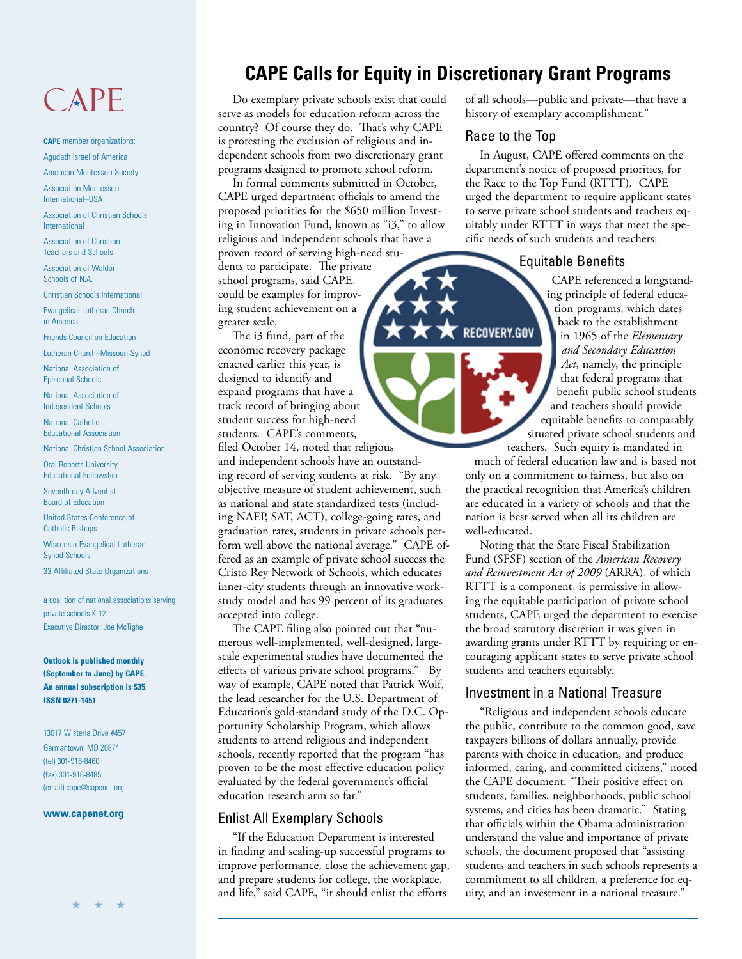## CAPE

**CAPE** member organizations: Agudath Israel of America

American Montessori Society

Association Montessori International–USA

Association of Christian Schools International

Association of Christian Teachers and Schools

Association of Waldorf Schools of N.A.

Christian Schools International

Evangelical Lutheran Church in America

Friends Council on Education

Lutheran Church–Missouri Synod

National Association of Episcopal Schools

National Association of Independent Schools

National Catholic Educational Association

National Christian School Association

Oral Roberts University Educational Fellowship

Seventh-day Adventist Board of Education

United States Conference of Catholic Bishops

Wisconsin Evangelical Lutheran Synod Schools

33 Affiliated State Organizations

a coalition of national associations serving private schools K-12 Executive Director: Joe McTighe

**Outlook is published monthly (September to June) by CAPE. An annual subscription is \$35. ISSN 0271-1451**

13017 Wisteria Drive #457 Germantown, MD 20874 (tel) 301-916-8460 (fax) 301-916-8485 (email) cape@capenet.org

#### **www.capenet.org**

## **CAPE Calls for Equity in Discretionary Grant Programs**

Do exemplary private schools exist that could serve as models for education reform across the country? Of course they do. That's why CAPE is protesting the exclusion of religious and independent schools from two discretionary grant programs designed to promote school reform.

In formal comments submitted in October, CAPE urged department officials to amend the proposed priorities for the \$650 million Investing in Innovation Fund, known as "i3," to allow religious and independent schools that have a proven record of serving high-need stu-

dents to participate. The private school programs, said CAPE, could be examples for improving student achievement on a greater scale.

The i3 fund, part of the economic recovery package enacted earlier this year, is designed to identify and expand programs that have a track record of bringing about student success for high-need students. CAPE's comments,

filed October 14, noted that religious

and independent schools have an outstanding record of serving students at risk. "By any objective measure of student achievement, such as national and state standardized tests (including NAEP, SAT, ACT), college-going rates, and graduation rates, students in private schools perform well above the national average." CAPE offered as an example of private school success the Cristo Rey Network of Schools, which educates inner-city students through an innovative workstudy model and has 99 percent of its graduates accepted into college.

The CAPE filing also pointed out that "numerous well-implemented, well-designed, largescale experimental studies have documented the effects of various private school programs." By way of example, CAPE noted that Patrick Wolf, the lead researcher for the U.S. Department of Education's gold-standard study of the D.C. Opportunity Scholarship Program, which allows students to attend religious and independent schools, recently reported that the program "has proven to be the most effective education policy evaluated by the federal government's official education research arm so far."

#### Enlist All Exemplary Schools

"If the Education Department is interested in finding and scaling-up successful programs to improve performance, close the achievement gap, and prepare students for college, the workplace, and life," said CAPE, "it should enlist the efforts

of all schools—public and private—that have a history of exemplary accomplishment."

## Race to the Top

In August, CAPE offered comments on the department's notice of proposed priorities, for the Race to the Top Fund (RTTT). CAPE urged the department to require applicant states to serve private school students and teachers equitably under RTTT in ways that meet the specific needs of such students and teachers.

### Equitable Benefits

CAPE referenced a longstanding principle of federal education programs, which dates back to the establishment in 1965 of the *Elementary and Secondary Education Act*, namely, the principle that federal programs that benefit public school students and teachers should provide equitable benefits to comparably situated private school students and teachers. Such equity is mandated in

much of federal education law and is based not only on a commitment to fairness, but also on the practical recognition that America's children are educated in a variety of schools and that the nation is best served when all its children are well-educated.

Noting that the State Fiscal Stabilization Fund (SFSF) section of the *American Recovery and Reinvestment Act of 2009* (ARRA), of which RTTT is a component, is permissive in allowing the equitable participation of private school students, CAPE urged the department to exercise the broad statutory discretion it was given in awarding grants under RTTT by requiring or encouraging applicant states to serve private school students and teachers equitably.

## Investment in a National Treasure

"Religious and independent schools educate the public, contribute to the common good, save taxpayers billions of dollars annually, provide parents with choice in education, and produce informed, caring, and committed citizens," noted the CAPE document. "Their positive effect on students, families, neighborhoods, public school systems, and cities has been dramatic." Stating that officials within the Obama administration understand the value and importance of private schools, the document proposed that "assisting students and teachers in such schools represents a commitment to all children, a preference for equity, and an investment in a national treasure."

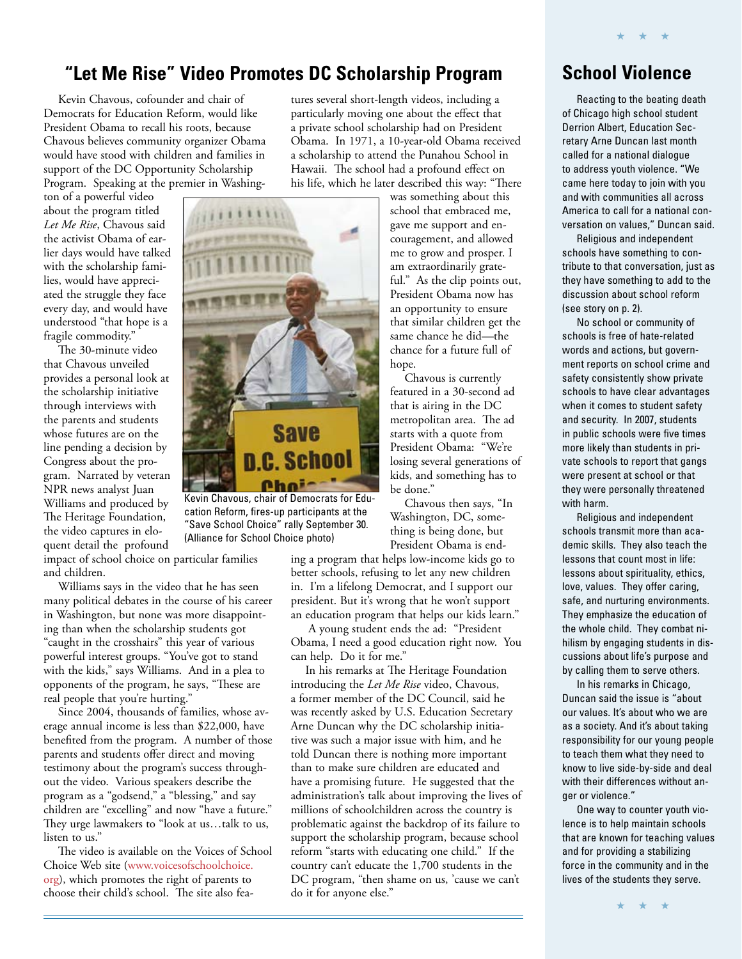## **"Let Me Rise" Video Promotes DC Scholarship Program**

Kevin Chavous, cofounder and chair of Democrats for Education Reform, would like President Obama to recall his roots, because Chavous believes community organizer Obama would have stood with children and families in support of the DC Opportunity Scholarship Program. Speaking at the premier in Washing-

ton of a powerful video about the program titled *Let Me Rise*, Chavous said the activist Obama of earlier days would have talked with the scholarship families, would have appreciated the struggle they face every day, and would have understood "that hope is a fragile commodity."

The 30-minute video that Chavous unveiled provides a personal look at the scholarship initiative through interviews with the parents and students whose futures are on the line pending a decision by Congress about the program. Narrated by veteran NPR news analyst Juan Williams and produced by The Heritage Foundation, the video captures in eloquent detail the profound

impact of school choice on particular families and children.

Williams says in the video that he has seen many political debates in the course of his career in Washington, but none was more disappointing than when the scholarship students got "caught in the crosshairs" this year of various powerful interest groups. "You've got to stand with the kids," says Williams. And in a plea to opponents of the program, he says, "These are real people that you're hurting."

Since 2004, thousands of families, whose average annual income is less than \$22,000, have benefited from the program. A number of those parents and students offer direct and moving testimony about the program's success throughout the video. Various speakers describe the program as a "godsend," a "blessing," and say children are "excelling" and now "have a future." They urge lawmakers to "look at us…talk to us, listen to us."

The video is available on the Voices of School Choice Web site (www.voicesofschoolchoice. [org\), which promotes the right of parents to](http://www.voicesofschoolchoice.org/)  choose their child's school. The site also fea-

tures several short-length videos, including a particularly moving one about the effect that a private school scholarship had on President Obama. In 1971, a 10-year-old Obama received a scholarship to attend the Punahou School in Hawaii. The school had a profound effect on his life, which he later described this way: "There

was something about this school that embraced me, gave me support and encouragement, and allowed me to grow and prosper. I am extraordinarily grateful." As the clip points out, President Obama now has an opportunity to ensure that similar children get the same chance he did—the chance for a future full of hope.

Chavous is currently featured in a 30-second ad that is airing in the DC metropolitan area. The ad starts with a quote from President Obama: "We're losing several generations of kids, and something has to be done."

Chavous then says, "In Washington, DC, something is being done, but President Obama is end-

ing a program that helps low-income kids go to better schools, refusing to let any new children in. I'm a lifelong Democrat, and I support our president. But it's wrong that he won't support an education program that helps our kids learn."

 A young student ends the ad: "President Obama, I need a good education right now. You can help. Do it for me."

In his remarks at The Heritage Foundation introducing the *Let Me Rise* video, Chavous, a former member of the DC Council, said he was recently asked by U.S. Education Secretary Arne Duncan why the DC scholarship initiative was such a major issue with him, and he told Duncan there is nothing more important than to make sure children are educated and have a promising future. He suggested that the administration's talk about improving the lives of millions of schoolchildren across the country is problematic against the backdrop of its failure to support the scholarship program, because school reform "starts with educating one child." If the country can't educate the 1,700 students in the DC program, "then shame on us, 'cause we can't do it for anyone else."

## **School Violence**

★ ★ ★

Reacting to the beating death of Chicago high school student Derrion Albert, Education Secretary Arne Duncan last month called for a national dialogue to address youth violence. "We came here today to join with you and with communities all across America to call for a national conversation on values," Duncan said.

Religious and independent schools have something to contribute to that conversation, just as they have something to add to the discussion about school reform (see story on p. 2).

No school or community of schools is free of hate-related words and actions, but government reports on school crime and safety consistently show private schools to have clear advantages when it comes to student safety and security. In 2007, students in public schools were five times more likely than students in private schools to report that gangs were present at school or that they were personally threatened with harm.

Religious and independent schools transmit more than academic skills. They also teach the lessons that count most in life: lessons about spirituality, ethics, love, values. They offer caring, safe, and nurturing environments. They emphasize the education of the whole child. They combat nihilism by engaging students in discussions about life's purpose and by calling them to serve others.

In his remarks in Chicago, Duncan said the issue is "about our values. It's about who we are as a society. And it's about taking responsibility for our young people to teach them what they need to know to live side-by-side and deal with their differences without anger or violence."

One way to counter youth violence is to help maintain schools that are known for teaching values and for providing a stabilizing force in the community and in the lives of the students they serve.

**Save** n.C. School Phoi--Kevin Chavous, chair of Democrats for Edu-

cation Reform, fires-up participants at the "Save School Choice" rally September 30. (Alliance for School Choice photo)